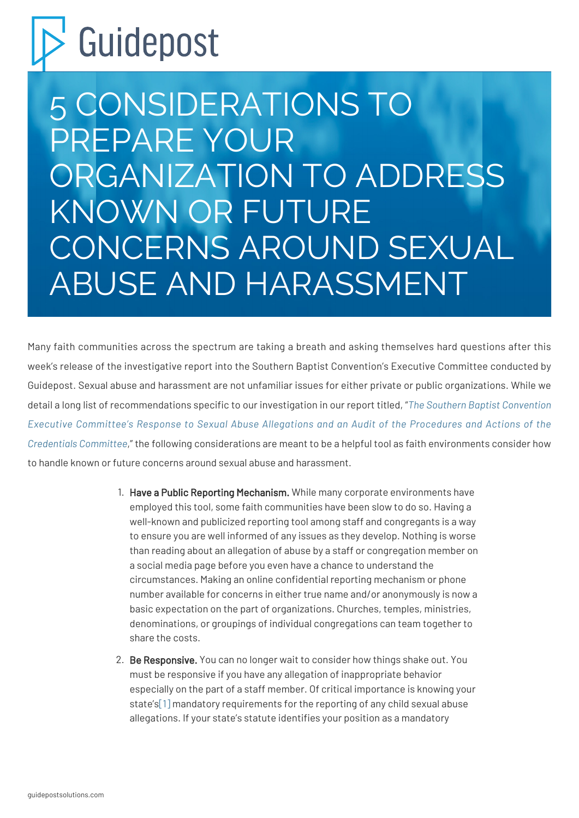## Guidepost

5 CONSIDERATIONS TO PREPARE YOUR ORGANIZATION TO ADDRESS KNOWN OR FUTURE CONCERNS AROUND SEXUAL ABUSE AND HARASSMENT

Many faith communities across the spectrum are taking a breath and asking themselves hard questions after this week's release of the investigative report into the Southern Baptist Convention's Executive Committee conducted by Guidepost. Sexual abuse and harassment are not unfamiliar issues for either private or public organizations. While we detail a long list of recommendations specific to our investigation in our report titled, "*[The Southern Baptist Convention](https://static1.squarespace.com/static/6108172d83d55d3c9db4dd67/t/628bfccb599a375bece1f66c/1653341391218/Guidepost+Solutions+Independent+Investigation+Report_.pdf) [Executive Committee's Response to Sexual Abuse Allegations and an Audit of the Procedures and Actions of the](https://static1.squarespace.com/static/6108172d83d55d3c9db4dd67/t/628bfccb599a375bece1f66c/1653341391218/Guidepost+Solutions+Independent+Investigation+Report_.pdf) [Credentials Committee](https://static1.squarespace.com/static/6108172d83d55d3c9db4dd67/t/628bfccb599a375bece1f66c/1653341391218/Guidepost+Solutions+Independent+Investigation+Report_.pdf)*," the following considerations are meant to be a helpful tool as faith environments consider how to handle known or future concerns around sexual abuse and harassment.

- 1. Have a Public Reporting Mechanism. While many corporate environments have employed this tool, some faith communities have been slow to do so. Having a well-known and publicized reporting tool among staff and congregants is a way to ensure you are well informed of any issues as they develop. Nothing is worse than reading about an allegation of abuse by a staff or congregation member on a social media page before you even have a chance to understand the circumstances. Making an online confidential reporting mechanism or phone number available for concerns in either true name and/or anonymously is now a basic expectation on the part of organizations. Churches, temples, ministries, denominations, or groupings of individual congregations can team together to share the costs.
- <span id="page-0-0"></span>2. Be Responsive. You can no longer wait to consider how things shake out. You must be responsive if you have any allegation of inappropriate behavior especially on the part of a staff member. Of critical importance is knowing your state's[\[1\]](#page-2-0) mandatory requirements for the reporting of any child sexual abuse allegations. If your state's statute identifies your position as a mandatory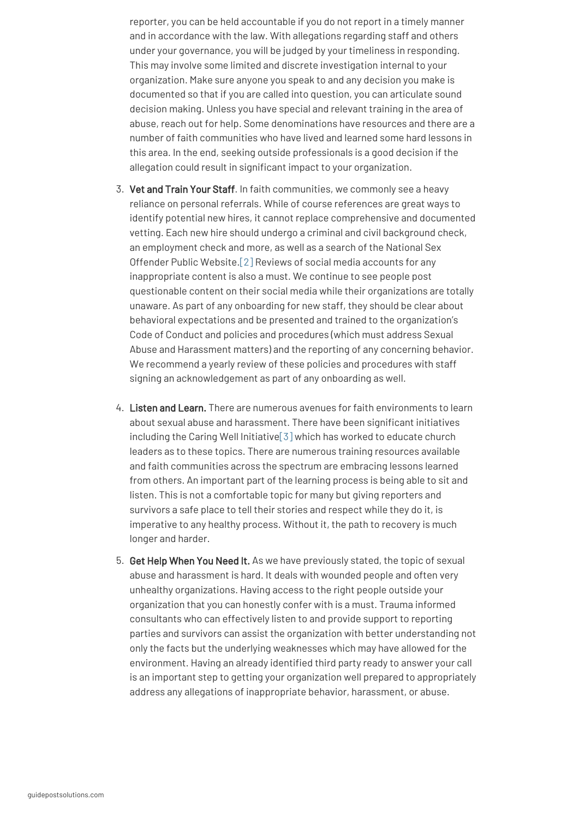reporter, you can be held accountable if you do not report in a timely manner and in accordance with the law. With allegations regarding staff and others under your governance, you will be judged by your timeliness in responding. This may involve some limited and discrete investigation internal to your organization. Make sure anyone you speak to and any decision you make is documented so that if you are called into question, you can articulate sound decision making. Unless you have special and relevant training in the area of abuse, reach out for help. Some denominations have resources and there are a number of faith communities who have lived and learned some hard lessons in this area. In the end, seeking outside professionals is a good decision if the allegation could result in significant impact to your organization.

- <span id="page-1-0"></span>3. Vet and Train Your Staff. In faith communities, we commonly see a heavy reliance on personal referrals. While of course references are great ways to identify potential new hires, it cannot replace comprehensive and documented vetting. Each new hire should undergo a criminal and civil background check, an employment check and more, as well as a search of the National Sex Offender Public Website.[\[2\]](#page-2-1) Reviews of social media accounts for any inappropriate content is also a must. We continue to see people post questionable content on their social media while their organizations are totally unaware. As part of any onboarding for new staff, they should be clear about behavioral expectations and be presented and trained to the organization's Code of Conduct and policies and procedures (which must address Sexual Abuse and Harassment matters) and the reporting of any concerning behavior. We recommend a yearly review of these policies and procedures with staff signing an acknowledgement as part of any onboarding as well.
- <span id="page-1-1"></span>4. Listen and Learn. There are numerous avenues for faith environments to learn about sexual abuse and harassment. There have been significant initiatives including the Caring Well Initiative[\[3\]](#page-2-2) which has worked to educate church leaders as to these topics. There are numerous training resources available and faith communities across the spectrum are embracing lessons learned from others. An important part of the learning process is being able to sit and listen. This is not a comfortable topic for many but giving reporters and survivors a safe place to tell their stories and respect while they do it, is imperative to any healthy process. Without it, the path to recovery is much longer and harder.
- 5. Get Help When You Need It. As we have previously stated, the topic of sexual abuse and harassment is hard. It deals with wounded people and often very unhealthy organizations. Having access to the right people outside your organization that you can honestly confer with is a must. Trauma informed consultants who can effectively listen to and provide support to reporting parties and survivors can assist the organization with better understanding not only the facts but the underlying weaknesses which may have allowed for the environment. Having an already identified third party ready to answer your call is an important step to getting your organization well prepared to appropriately address any allegations of inappropriate behavior, harassment, or abuse.